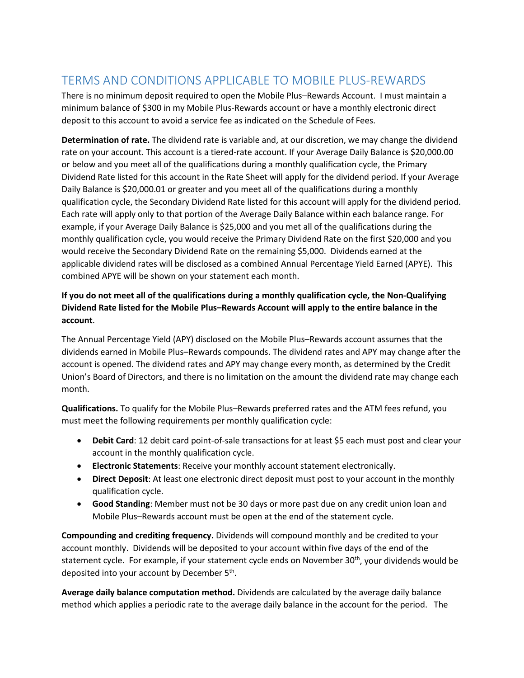## TERMS AND CONDITIONS APPLICABLE TO MOBILE PLUS-REWARDS

There is no minimum deposit required to open the Mobile Plus–Rewards Account. I must maintain a minimum balance of \$300 in my Mobile Plus-Rewards account or have a monthly electronic direct deposit to this account to avoid a service fee as indicated on the Schedule of Fees.

**Determination of rate.** The dividend rate is variable and, at our discretion, we may change the dividend rate on your account. This account is a tiered-rate account. If your Average Daily Balance is \$20,000.00 or below and you meet all of the qualifications during a monthly qualification cycle, the Primary Dividend Rate listed for this account in the Rate Sheet will apply for the dividend period. If your Average Daily Balance is \$20,000.01 or greater and you meet all of the qualifications during a monthly qualification cycle, the Secondary Dividend Rate listed for this account will apply for the dividend period. Each rate will apply only to that portion of the Average Daily Balance within each balance range. For example, if your Average Daily Balance is \$25,000 and you met all of the qualifications during the monthly qualification cycle, you would receive the Primary Dividend Rate on the first \$20,000 and you would receive the Secondary Dividend Rate on the remaining \$5,000. Dividends earned at the applicable dividend rates will be disclosed as a combined Annual Percentage Yield Earned (APYE). This combined APYE will be shown on your statement each month.

## **If you do not meet all of the qualifications during a monthly qualification cycle, the Non-Qualifying Dividend Rate listed for the Mobile Plus–Rewards Account will apply to the entire balance in the account**.

The Annual Percentage Yield (APY) disclosed on the Mobile Plus–Rewards account assumes that the dividends earned in Mobile Plus–Rewards compounds. The dividend rates and APY may change after the account is opened. The dividend rates and APY may change every month, as determined by the Credit Union's Board of Directors, and there is no limitation on the amount the dividend rate may change each month.

**Qualifications.** To qualify for the Mobile Plus–Rewards preferred rates and the ATM fees refund, you must meet the following requirements per monthly qualification cycle:

- **Debit Card**: 12 debit card point-of-sale transactions for at least \$5 each must post and clear your account in the monthly qualification cycle.
- **Electronic Statements**: Receive your monthly account statement electronically.
- **Direct Deposit**: At least one electronic direct deposit must post to your account in the monthly qualification cycle.
- **Good Standing**: Member must not be 30 days or more past due on any credit union loan and Mobile Plus–Rewards account must be open at the end of the statement cycle.

**Compounding and crediting frequency.** Dividends will compound monthly and be credited to your account monthly. Dividends will be deposited to your account within five days of the end of the statement cycle. For example, if your statement cycle ends on November 30<sup>th</sup>, your dividends would be deposited into your account by December  $5<sup>th</sup>$ .

**Average daily balance computation method.** Dividends are calculated by the average daily balance method which applies a periodic rate to the average daily balance in the account for the period. The